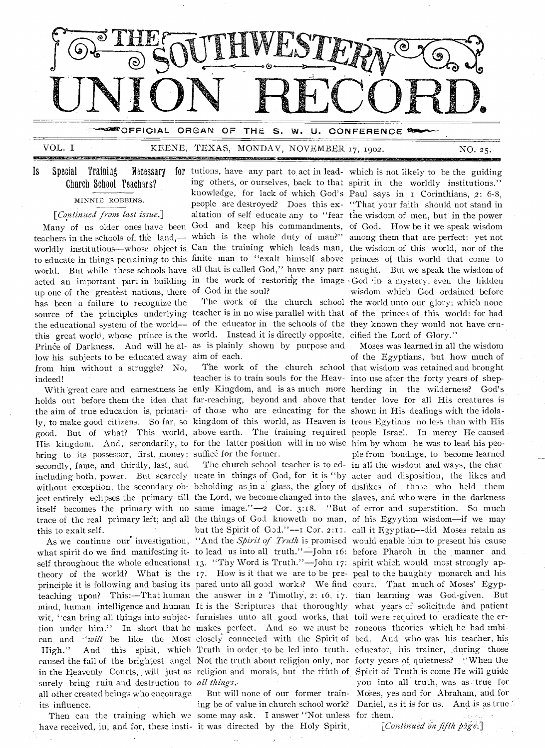

VOL. I

### KEENE, TEXAS, MONDAY, NOVEMBER 17, 1902.

NO. 25.

#### **Is** Special **Training** Necessarv Church School Teachers?

### MINNIE ROBBINS.

[Continued from last issue.]

up one of the greatest nations, there of God in the soul? has been a failure to recognize the source of the principles underlying teacher is in no wise parallel with that of the princes of this world: for had the educational system of the world- of the educator in the schools of the they known they would not have cruthis great world, whose prince is the world. Instead it is directly opposite, cified the Lord of Glory." Prince of Darkness. And will he al- as is plainly shown by purpose and low his subjects to be educated away aim of each. from him without a struggle? No, indeed!

holds out before them the idea that far-reaching, beyond and above that tender love for all His creatures is the aim of true education is, primari- of those who are educating for the shown in His dealings with the idolaly, to make good citizens. So far, so kingdom of this world, as Heaven is trous Egytians no less than with His good. But of what? This world, above earth. The training required people Israel. In mercy He caused His kingdom. And, secondarily, to for the latter position will in no wise him by whom he was to lead his peobring to its possessor, first, money; suffice for the former. secondly, fame, and thirdly, last, and including both, power. But scarcely ucate in things of God, for it is "by acter and disposition, the likes and without exception, the secondary ob- beholding as in a glass, the glory of dislikes of those who held them ject entirely eclipses the primary till the Lord, we become changed into the slaves, and who were in the darkness itself becomes the primary with no same image."-2 Cor. 3:18. "But of error and superstition. So much trace of the real primary left; and all the things of God knoweth no man, of his Egyytion wisdom--if we may this to exalt self.

what spirit do we find manifesting it- to lead us into all truth."-John 16: before Pharoh in the manner and self throughout the whole educational 13. "Thy Word is Truth."—John 17: spirit which would most strongly ap-<br>theory of the world? What is the 17. How is it that we are to be pre- peal to the haughty monarch and his principle it is following and basing its pared unto all good works? We find court. That much of Moses' Egyp-High." surely bring ruin and destruction to all things. all other created beings who encourage its influence.

have received, in, and for, these insti-it was directed by the Holy Spirit,

 $\iint$  tutions, have any part to act in lead- which is not likely to be the guiding ing others, or ourselves, back to that spirit in the worldly institutions." knowledge, for lack of which God's Paul says in I Corinthians, 2: 6-8, people are destroyed? Does this ex- "That your faith should not stand in altation of self educate any to "fear the wisdom of men, but in the power Many of us older ones have been God and keep his commandments, of God. How be it we speak wisdom teachers in the schools of the land,— which is the whole duty of man?" among them that are perfect: yet not worldly institutions—whose object is Can the training which leads man, the wisdom of this world, nor of the to educate in things pertaining to this finite man to "exalt himself above princes of this world that come to world. But while these schools have all that is called God," have any part naught. But we speak the wisdom of acted an important part in building in the work of restoring the image God in a mystery, even the hidden

teacher is to train souls for the Heav- into use after the forty years of shep-With great care and earnestness he enly Kingdom, and is as much more herding in the wilderness? God's

but the Spirit of God."--1 Cor. 2:11. call it Egyptian--did Moses retain as As we continue our investigation, "And the *Spirit of Truth* is promised would enable him to present his cause

But will none of our former training be of value in church school work? Then can the training which we some may ask. I answer "Not unless for them.

wisdom which God ordained before The work of the church school the world unto our glory: which none

Moses was learned in all the wisdom of the Egyptians, but how much of The work of the church school that wisdom was retained and brought ple from bondage, to become learned The church school teacher is to ed- in all the wisdom and ways, the charteaching upon? This:-That human the answer in 2 Timothy, 2: 16, 17. tian learning was God-given. But mind, human intelligence and human It is the Scriptures that thoroughly what years of solicitude and patient wit, "can bring all things into subjec- furnishes unto all good works, that toil were required to eradicate the ertion under him." In short that he makes perfect. And so we must be roneous theories which he had imbican and "will be like the Most closely connected with the Spirit of bed. And who was his teacher, his And this spirit, which Truth in order to be led into truth. educator, his trainer, during those caused the fall of the brightest angel Not the truth about religion only, nor forty years of quietness? "When the in the Heavenly Courts, will just as religion and morals, but the truth of Spirit of Truth is come He will guide you into all truth, was as true for Moses, yes and for Abraham, and for Daniel, as it is for us. And is as true

[Continued on fifth page.]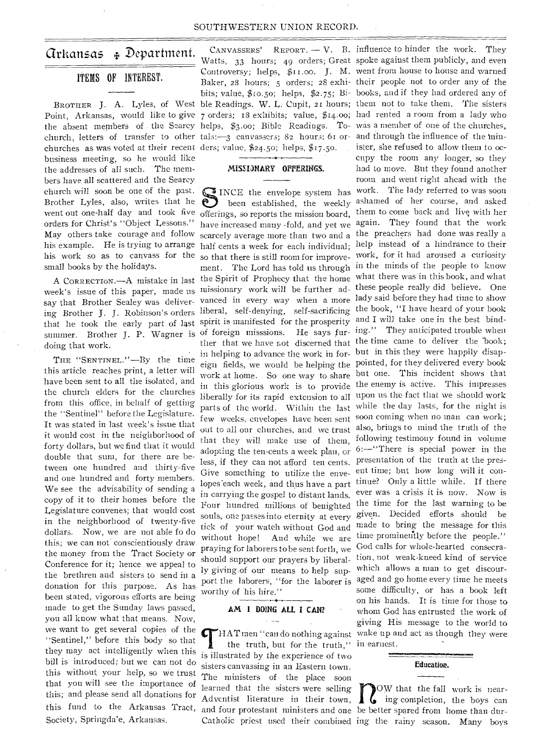#### SOUTHWESTERN UNION RECORD.

## arkansas Department.

### ITEMS OF INTEREST.

churches as was voted at their recent ders; value, \$24.50; helps, \$17.50. business meeting, so he would like the addresses of all such. The members have all scattered and the Searcy church will soon be one of the past. Brother Lyles, also, writes that he went out one-half day and took five offerings, so reports the mission board, them to come back and live with her orders for Christ's "Object Lessons." May others take courage and follow his example. He is trying to arrange half cents a week for each individual; help instead of a hindrance to their his work so as to canvass for the small books by the holidays.

A CORRECTION.-A mistake in last doing that work.

THE "SENTINEL."—By the time this article reaches print, a letter will have been sent to all the isolated, and the church elders for the churches from this office, in behalf of getting the "Sentinel" before the Legislature. It was stated in last week's issue that it would cost in the neighborhood of forty dollars, but we find that it would double that sum, for there are between one hundred and thirty-five and one hundred and forty members. We see the advisability of sending a copy of it to their homes before the Legislature convenes; that would cost in the neighborhood of twenty-five dollars. Now, we are not able fo do this; we can not conscientiously draw the money from the Tract Society or Conference for it; hence we appeal to the brethren and sisters to send in a donation for this purpose. As has been stated, vigorous efforts are being made to get the Sunday laws passed, you all know what that means. Now, we want to get several copies of the "Sentinel," before this body so that they may act intelligently when this bill is introduced; but we can not do this without your help, so we trust that you will see the importance of this; and please send all donations for this fund to the Arkansas Tract, Society, Springda'e, Arkansas.

BROTHER J. A. Lyles, of West ble Readings. W. L. Cupit, 2I hours; them not to take them. The sisters Point, Arkansas, would like to give 7 orders; 18 exhibits; value, \$14.00; had rented a room from a lady who the absent members of the Searcy helps, \$3.00; Bible Readings. To-was a member of one of the churches, church, letters of transfer to other tals:-3 canvassers; 82 hours; 61 or- and through the influence of the min-CANVASSERS' REPORT.  $-V$ . B. influence to hinder the work. They Watts, 33 hours; 49 orders; Great spoke against them publicly, and even Controversy; helps, \$11.00. J. M. went from house to house and warned Baker, 28 hours; 5 orders; 28 exhi-their people not to order any of the bits; value, \$10.50; helps, \$2.75; Bi- books, and if they had ordered any of

### MISSIONARY OFFERINGS.

week's issue of this paper, made us missionary work will be further ad-these people really did believe. One week's liste of this paper, made to ing Brother J. J. Robinson's orders liberal, self-denying, self-sacrificing the book, "I have heard of your book that he took the early part of last spirit is manifested for the prosperity and I will take one in the best bindthat he cook the early part of fact 1.<br>
summer. Brother J. P. Wagner is of foreign misssions. He says fur-ing." They anticipated trouble when have increased many fold, and yet we again. They found that the work scarcely average more than two and a the preachers had done was really a so that there is still room for improve-work, for it had aroused a curiosity ment. The Lord has told us through in the minds of the people to know the Spirit of Prophecy that the home what there was in this hook, and what ther that we have not discerned that the time came to deliver the book; in helping to advance the work in for-but in this they were happily disapeign fields, we would be helping the pointed, for they delivered every book work at home. So one way to share but one. This incident shows that in this glorious work is to provide the enemy is active. This impresses liberally for its rapid extension to all upon us the fact that we should work parts of the world. Within the last while the day lasts, for the night is few weeks, envelopes have been sent soon coming when no man can work; out to all our churches, and we trust also, brings to mind the truth of the that they will make use of them, following testimony found in volume adopting the ten-cents a week plan, or  $6:$ —"There is special power in the less, if they can not afford ten cents. presentation of the truth at the pres-Give something to utilize the enve-ent time; but how long will it conlopes each week, and thus have a part tinue? Only a little while. If there in carrying the gospel to distant lands. souls, one passes into eternity at every given. Decided efforts should be without hope! And while we are time prominently before the people." praying for laborers to be sent forth, we should support our prayers by liberally giving.of our means to help support the laborers, "for the laborer is worthy of his hire."

#### AM I DOING ALL I CAN?

the truth, but for the truth," in earnest. is illustrated by the experience of two sisters canvassing in an Eastern town. The ministers of the place soon learned that the sisters were selling Adventist literature in their town,

SINCE the envelope system has work. The lady referred to was soon<br>been established, the weekly ashamed of her course, and asked<br>offerings so reports the mission board them to come back and live with her been established, the weekly ashamed of her course, and asked Four hundred millions of benighted the time for the last warning to be tick of your watch without God and made to bring the message for this HAT men "can do nothing against wake up and act as though they were ister, she refused to allow them to occupy the room any longer, so they had to move. But they found another room and went right ahead with the ever was a crisis it is now. Now is God calls for whole-hearted consecration, not weak-kneed kind of service which allows a man to get discouraged and go home every time he meets some difficulty, or has a book left on his hands. It is time for those to whom God has entrusted the work of giving His message to the world to



and four protestant ministers and one be better spared from home than dur-Catholic priest used their combined ing the rainy season. Many boys NOW that the fall work is near-<br>ing completion, the boys can<br>as better aparel from the settled that OW that the fall work is near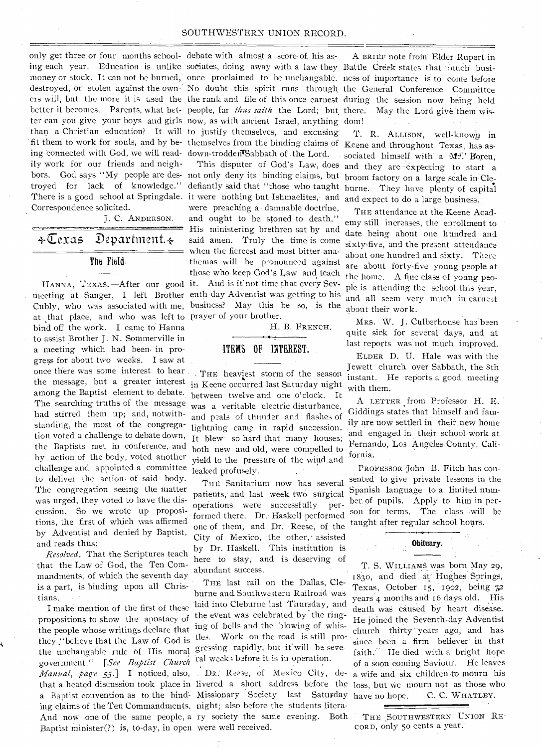only get three or four months school-debate with almost a score of. his asing each year. Education is unlike sociates, doing away with a law they Battle Creek states that much busimoney or stock. It can not be burned, once proclaimed to be unchangable. ness of importance is to come before destroyed, or stolen against the own- No doubt this spirit runs through the General Conference Committee ers will, but the more it is used the the rank and file of this once earnest during the session now being held better it becomes. Parents, what bet- people, far *thus saith* the Lord; but there. May the Lord give them wister can you give your boys and girls now, as with ancient Israel, anything dom! than a Christian education? It will to justify themselves, and excusing fit them to work for souls, and by be- themselves from the binding claims of Keene and throughout Texas, has asing 'connected with God, we will read-down-troddenTSabbath of the Lord. ily work for our friends and neighbors. God says "My people are des- not only deny its binding claims, but broom factory on a large scale in Cletroyed for lack of knowledge." There is a good school at Springdale. it were nothing but. Ishmaelites, and Correspondence solicited.

J. C. ANDERSON.

# +Texas Department. $\leftarrow$

#### The Field.

meeting at Sanger, I left Brother enth-day Adventist was getting to his Cubly, who was associated with me, business? May this be so, is the at that place, and who was left to prayer of your brother. bind off the work. I came to Hanna to assist Brother J. N. Sommerville in a meeting which had been. in progress for about two weeks. I saw at once there was some interest to hear the message, but a greater interest in Keene occurred last Saturday night among the Baptist element to debate. The searching truths of the message had stirred them up; and, notwithstanding, the most of the congregation voted a challenge to debate down, the Baptists met in conference, and by action of the body, voted another challenge and appointed a committee to deliver the action, of said body. The congregation seeing the matter was urged, they voted to have the discussion. So we wrote up propositions, the first of which was affirmed by Adventist and denied by Baptist, and reads thus:

*Resolved,* That the Scriptures teach that the Law of God, the Ten Commandments, of which the seventh day is a part, is binding upon all Christians.

I make mention of the first of these propositions to show the apostacy of the people whose writings declare that they ."believe that the Law of God is the unchangable rule of His moral gressing rapidly, but it will be sevegovernment.'' *[See Baptist church Manual, page 55.]* I noticed, also, that a heated discussion took place in livered a short address before the a Baptist convention as to the bind-Missionary Society last Saturday ing claims of the Ten Commandinents. night;, also before the students litera-And now one of the same people, a ry society the same evening. Both Baptist minister(?) is, to-day, in open were well received.

HANNA, TEXAS.—After our good it. And is if not time that every Sevdefiantly said that "those who taught burne. They have plenty of capital were preaching a damnable doctrine, and ought to be stoned to death." His ministering brethren sat by and said amen. Truly the time is come when the fiercest and most bitter anathemas will be pronounced against those who keep God's Law and teach

H. B. FRENCH.

### ITEMS OF INTEREST.

THE heaviest storm of the season between twelve and one o'clock. It was a veritable electric disturbance, and peals of thunder and flashes of lightning came in rapid succession. It blew' so hard that many houses; both new and old, were compelled to yield to the pressure of the wind and leaked profusely.

THE Sanitarium now has several patients,' and last week two surgical operations were successfully performed there. Dr. Haskell performed one of them, and Dr. Reese, of the City of Mexico, the other,' assisted by Dr. Haskell. This institution is here to stay, and is deserving of abundant success.

THE last rail on the Dallas, Cleburne and Southwestern Railroad was laid into Cleburne last Thursday, and the event was celebrated by 'the ringing of bells and the blowing of whistles. Work on the road is still proral weeks before it is in operation.

DR. Reese, of Mexico City, de-

A BRIEF note from' Elder Rupert in

T. R. ALLISON, well-known in sociated himself with a Mr.' Boren, This disputer of God's Law, does and they are expecting to start a and expect to do a large business.

> THE attendance at the Keene Academy still increases, the enrollment to date being about one hundred and sixty-five, and the present attendance about one hundred and sixty. There are about forty-five young people at the home. A fine class of young people is attending the school this year, and all seem very much in earnest about their work.

> MRS. W. J. Culberhouse has been quite sick for several days, and at last reports was not much improved.

> ELDER D. U. Hale was with the Jewett church. over Sabbath, the 8th instant. He reports a good meeting with them.

> A LETTER from Professor H. E. Giddings states that himself and family are now settled in their new home and engaged in their school work at Fernando, Los Angeles. County, California.

PROFESSOR John B. Fitch has consented to give private lessons in the Spanish language to a limited number of pupils. Apply to him in person for terms. The class will be taught after regular school hours.

Obituary.

T. S. WILLIAMS was born May 29, 183o, and died at; Hughes Springs, Texas, October is, 1902, being 72 years 4 months and 16 days old, His death was caused by heart disease. He joined the Seventh-day Adventist church thirty years ago, and has since been a firm believer in that<br>faith. He died with a bright hope He died with a bright hope of a soon-coming Saviour. He leaves a wife and six children to mourn his loss, but we mourn not as those who have no hope. C. C. WHATLEY. C. C. WHATLEY.

THE SOUTHWESTERN UNION RE-CORD, only so cents a year.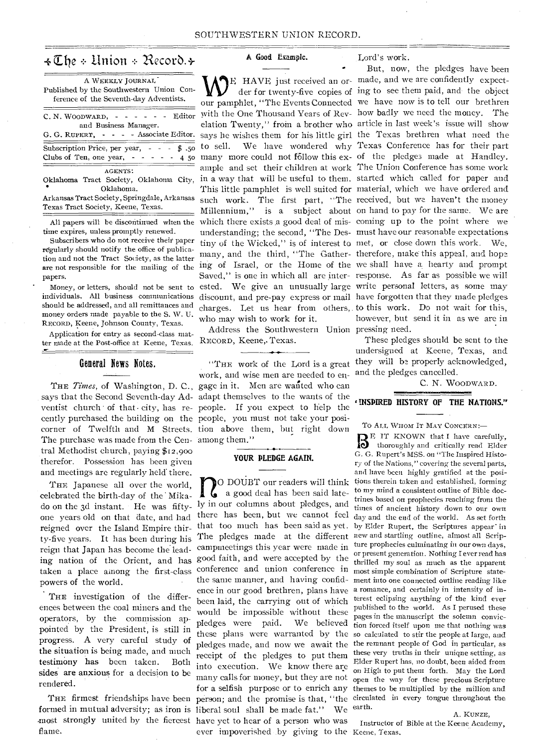# $\triangleleft \mathbb{C}$ he + Union + Record. +

| A WEEKLY JOURNAL<br>Published by the Southwestern Union Con-<br>ference of the Seventh-day Adventists.                                               |
|------------------------------------------------------------------------------------------------------------------------------------------------------|
| $C. N. WooDWARD, - - - - - - - -$<br>and Business Manager.<br>G. G. RUPERT, - - - - Associate Editor.                                                |
| Subscription Price, per year, $  \frac{4}{9}$ , 50<br>Clubs of Ten, one year, $- - - - - 45$                                                         |
| AGENTS:<br>Oklahoma Tract Society, Oklahoma City,<br>Oklahoma.<br>Arkansas Tract Society, Springdale, Arkansas<br>Texas Tract Society, Keene, Texas. |

All papers will be discontinued when the time expires, unless promptly renewed.

Subscribers who do not receive their paper regularly should notify the office of publication and not the Tract Society, as the latter papers.

should be addressed, and all remittances and money orders made payable to the S. W. U. RECORD, Keene, Johnson County, Texas.

Application for entry as second-class matter made at the Post-office at Keene, Texas.

### General News Notes.

says that the Second Seventh-day Ad-adapt themselves to the wants of the ventist church of that city, has re- people. If you expect to help the cently purchased the building on the people, you must not take your posicorner of Twelfth and M Streets. tion above them, but right down The purchase was made from the Cen-among them. tral Methodist church, paying \$12,900 therefor. Possession has been given and meetings are regularly held there.

THE Japanese all over the world, celebrated the birth-day of the' Mikado on the 3d instant. He was fifty-ly in our columns about pledges, and one years old on that date, and had reigned over the Island Empire thirty-five years. It has been during his reign that Japan has become the leading nation of the Orient, and has taken a place among the first-class powers of the world.

THE investigation of the differences between the coal miners and the operators, by the commission appointed by the President, is still in progress. A very careful study of the situation is being made, and much testimony has been taken. Both sides are anxious for a decision to be rendered.

THE firmest friendships have been most strongly united by the fiercest have yet to hear of a person who was flame.

#### A Good Example.

are not responsible for the mailing of the ing of Israel, or the Home of the we shall have a hearty and prompt Money, or letters, should not be sent to ested. We give an unusually large write personal letters, as some may individuals. All business communications discount, and pre-pay express or mail have forgotten that they made pledges many, and the third, "The Gather-therefore, make this appeal, and hope Saved," is one in which all are inter-response. As far as possible we will charges. Let us hear from others, to this work. Do not wait for this, who may wish to work for it.

> Address the Southwestern Union pressing need. RECORD, Keene, Texas.

THE *Times,* of Washington, D. C., gage in it. Men are wanted who can "THE work of the Lord is a great work, and wise men are needed to en-

#### **YOUR PLEDGE AGAIN.**

formed in mutual adversity; as iron is liberal soul shall be made fat." We  $n_{\text{min}}$ O DOUBT our readers will think a good deal has been said latethere has been, but we cannot feel that too much has been said as yet. The pledges made at the different campmeetings this year were made in good faith, and were accepted by the conference and union conference in the same manner, and having confidence in our good brethren, plans have been laid, the carrying out of which would be impossible without these pledges were paid. We believed these plans were warranted by the receipt of the pledges to put them into execution. We know there are many calls for money, but they are not for a selfish purpose or to enrich any themes to be multiplied by the million and ever impoverished by giving to the Keene, Texas.

Lord's work.

E HAVE just received an or-made, and we are confidently expectder for twenty-five copies of ing to see them paid, and the object our pamphlet, "The Events Connected we have now is to tell our brethren with the One Thousand Years of Rev-how badly we need the money. The elation Twenty," from a brother who article in last week's issue will show says he wishes them for his little girl the Texas brethren what need the to sell. We have wondered why Texas Conference has for their part many more could not follow this ex- of the pledges made at Handley. ample and set their children at work The Union Conference has some work in a way that will be useful to them. started which called for paper and This little pamphlet is well suited for material, which we have ordered and such work. The first part, "The received, but we haven't the money Millennium," is a subject about on hand to pay for the same. We are which there exists a good deal of mis-coming up to the point where we understanding; the second, "The Des-must have our reasonable expectations tiny of the Wicked," is of interest to met, or close down this work. We, But, now, the pledges have been however, but send it in as we are in

> These pledges should be sent to the undersigned at Keene, Texas, and they will be properly acknowledged, and the pledges cancelled.

> > C. N. WOODWARD.

#### **INSPIRED HISTORY OF THE NATIONS."**

TO ALL WHOM IT MAY CONCERN:-

pledges made, and now we await the the remnant people of God in particular, as person; and the promise is that, "the circulated in every tongue throughout the BE IT KNOWN that I have carefully, thoroughly and critically read Elder G. G. Rupert's MSS. on "The Inspired History of the Nations," covering the several parts, and have been highly gratified at the positions therein taken and established, forming to my mind a consistent outline of Bible doctrines based on prophecies reaching from the times of ancient history down to our own day and the end of the world. As set forth by EIder Rupert, the Scriptures appear' in new and startling outline, almost all Scripture prophecies culminating in our own days, or present generation. Nothing I ever read has thrilled my soul as much as the apparent most simple combination of Scripture statement into one connected outline reading like a romance, and certainly in intensity of interest eclipsing anything of the kind ever published to the world. As I perused these pages in the manuscript the solemn conviction forced itself upon me that nothing was so calculated to stir the people at large, and these very truths in their unique setting, as Elder Rupert has, no doubt, been aided from on High to put them forth. May the Lord open the way for these precious Scripture earth.

#### A. KUNZE,

Instructor of Bible at the Keene Academy,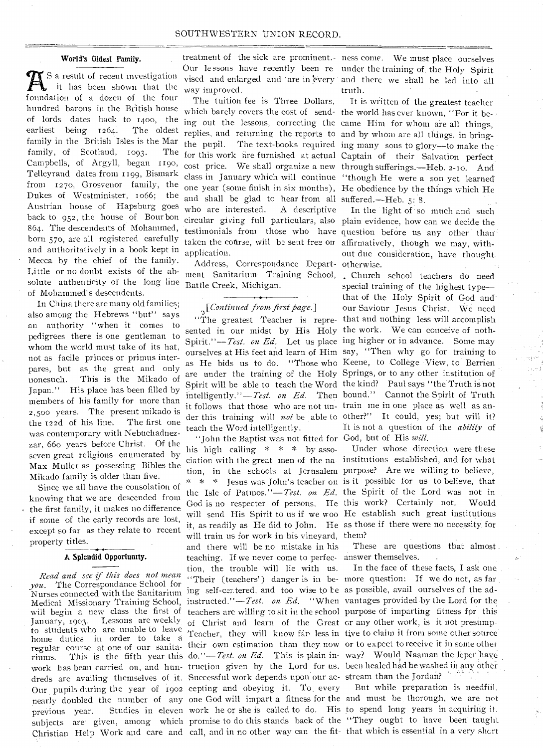#### World's Oldest Family.

S a result of recent investigation it has been shown that the foundation of a dozen of the four hundred barons in the British house of lords dates back to 1400, the earliest being 1264. The oldest family in the British Isles is the Mar family, of Scotland, 1093. The Campbells, of Argyll, began 119o, Telleyrand dates from 1199, Bismark from 127o, Grosvenor family, the Dukes of Westminister, to66; the Austrian house of Hapsburg goes back to 952, the house of Bourbon 864. The descendents of Mohammed, born 57o, are all registered carefully and authoritatively in a book kept in Mecca by the chief of the family. Little or no doubt exists of the absolute authenticity of the long line of Mohammed's descendents.

In China there are many old families; also among the Hebrews "but" says an authority "when it comes to pedigrees there is one gentleman to whom the world must take of its hat, not as facile princes or primus interpares, but as the great and only nonesuch. This is the Mikado of Japan." His place has been filled by members of his family for more than 2,500 years. The present mikado is the 122d of his line. The first one was contemporary with Nebuchadnezzar, 66o years before Christ. Of the seven great religions enumerated by Max Muller as possessing Bibles the Mikado family is older than five.

Since we all have the consolation of knowing that we are descended from the first family, it makes no difference if some of the early records are lost, except so far as they relate to recent property titles.

#### A Splendid Opportunity.

*Read and see if this does not mean you.* The Correspondance School for Nurses connected with the Sanitarium Medical Missionary Training School, will begin a new class the first of January, 1903. Lessons are weekly. to students who are unable to leave home duties in order to take a Christian Help Work and care and call, and in no other way can the fit- that which is essential in a very short

treatment of the sick are prominent.- ness come. We must place ourselves way improved.

The tuition fee is Three Dollars, which barely covers the cost of send- the world has ever known, "For it beand shall be glad to hear from all suffered.—Heb. 5: 8. who are interested. application.

Address, Correspondance Depart-otherwise. ment Sanitarium. Training School, Church school teachers do need Battle Creek, Michigan.

### *[Continued from first page.]*

sented in our midst by His Holy the work. We can conceive of nothit follows that those who are not un-train me in one place as well as anteach the Word intelligently.

nome unites in order to take a<br>regular course at one of our sanita-<br>their own estimation than they now or to expect to receive it in some other riums. This is the fifth year this do."—*Test. on Ed.* This is plain in-way? Would Naaman the leper have work has bean carried on, and hun- truction given by the Lord for us. been healed had he washed in any other dreds are availing themselves of it. Successful work depends upon our ac-stream than the Jordan? Our pupils during the year of 1902 cepting and obeying it. To. every nearly doubled the number of any one God will impart a fitness for the and must be thorough, we are not previous year. Studies in eleven work he or she is called to do. His to spend long years in acquiring it. subjects are' given, among which promise to do this stands back of the "They ought to have been taught "John the Baptist was not fitted for God, but of His *will.*  his high calling  $* * * \text{ by }$  association with the great men of the na-institutions established, and for what tion, in the schools at Jerusalem purpose? Are we willing to believe, \* \* \* Jesus was John's teacher on is it possible for us to believe, that the Isle of Patmos."—Test. *on Ed.*  the Spirit of the Lord was not in God is no respecter of persons. He this work? Certainly not. Would will send His Spirit to us if we woo He establish such great institutions it, as readily as He did to John. He as those if there were no necessity for will train us for work in his vineyard, them? and there will be no mistake in his teaching. If we never come to perfec-answer themselves. tion, the trouble will lie with us. "Their (teachers') danger is in be-more question: If we do not, as far ing self-centered, and too wise to be as possible, avail ourselves of the adinstructed."-*Test. on Ed.* "When vantages provided by the Lord for the teachers are willing to sit in the school purpose of imparting fitness for this of Christ and learn of the Great or any other work, is it not presump-Teacher, they will know far less in tive to claim it from some other source

Our lessons have recently been re under the training of the Holy Spirit vised and enlarged and are in every and there we shall be led into all truth.

ing out the lessons, correcting the came Him for Whom are all things, replies, and returning the reports to and by whom are all things, in bringthe pupil. The text-books required ing many sons to glory—to make the for this work are furnished at actual Captain of their Salvation perfect cost price. We shall organize a new through sufferings.—Heb. 2-ro. And class in January which will continue "though He were a son yet learned' one year (some finish in six months), He obedience by the things which He It is written of the greatest teacher

circular giving full particulars, also plain evidence, how can we decide the testimonials from those who have question before us any other than taken the course, will be sent free on affirmatively, though we may, with-A descriptive In the light of so much and such out due consideration, have thought.

"The greatest Teacher is repre- that and nothing less will accomplish Spirit."--Test. on Ed. Let us place ing higher or in advance. Some may ourselves at His feet and learn of Him say, "Then why go for training to as He bids us to do. "Those who Keene, to College View, to Berrien are under the training of the Holy Springs, or to any other institution of Spirit will be able to teach the Word the kind? Paul says "the Truth is not intelligently."-*Test. on Ed.* Then bound." Cannot the Spirit of Truth der this training will *not* be able to other?" It could, yes; but will it? special training of the highest type that of the Holy Spirit of God and• our Saviour Jesus Christ. We need It is not a question of the *ability* of

TJnder whose direction were these

These are questions that almost

In the face of these facts, I ask one.

But while preparation is needfiil,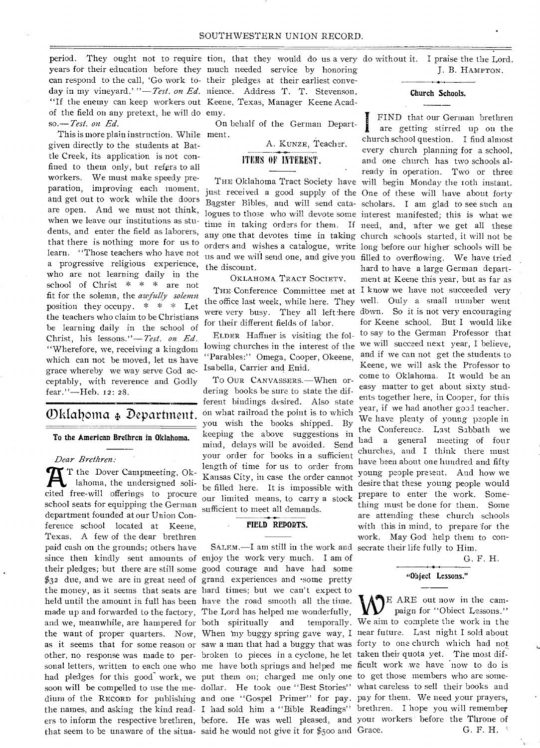period. They ought not to require tion, that they would do us a very do without it. I praise the the Lord. years for their education before they much needed service by honoring can respond to the call, 'Go work to- their pledges at their earliest conveday in my vineyard.' "-Test. on Ed. nience. Address T. T. Stevenson, "If the enemy can keep workers out Keene, Texas, Manager Keene Acadof the field on any pretext, he will do emy. so.—Test. *on Ed.* 

This is more plain instruction. While ment. given directly to the students at Battle Creek, its application is not confined to them only, but refers to all workers. We must make speedy preparation, improving each moment, and get out to work while the doors are open. And we must not think, when we leave our institutions as students, and enter the field as laborers, that there is nothing more for us to learn. "Those teachers who have not a progressive religious experience, who are not learning daily in the school of Christ \* \* \* are not fit for the solemn, the *azefully solemn*  position they occupy. \* \* \* Let the teachers who claim to be Christians be learning daily in the school of Christ, his lessons."—*'Pest. on Ed.*  "Wherefore, we, receiving a kingdom which can not be moved, let us have grace whereby we way serve God acceptably, with reverence and Godly fear."—Heb. 12: 28.

# Oklalioma 4, Department.

To the American Brethren in Oklahoma.

*Dear Brethren:* 

the want of proper quarters. Now, When 'my buggy spring gave way, I near future. Last night I sold about as it seems that for some reason or saw a man that had a buggy that was forty to one church which had not other, no response was made to per- broken to pieces in a cyclone, he let taken their quota yet. The most difsonal letters, written to each one who me have both springs and helped me ficult work we have now to do is had pledges for this good work, we put them on; charged me only one to get those members who are somesoon will be compelled to use the me- dollar. He took one "Best Stories" what careless to sell their books and dium of the RECORD for publishing and one "Gospel Primer" for pay. pay for them. We need your prayers, the names, and asking the kind read- I had sold him a "Bible Readings" brethren. I hope you will remember ers to inform the respective brethren, before. He was well pleased, and your workers before the Throne of  $'$  T the Dover Campmeeting, Oklahoma, the undersigned solicited free-will offerings to procure school seats for equipping the German department founded at our Union Conference school located at Keene, Texas. A few of the dear brethren paid cash on the grounds; others have since then kindly sent amounts of enjoy the work very much. I am of their pledges; but there are still some good courage and have had some \$32 due, and we are in great need of grand experiences and .some pretty the money, as it seems that seats are hard times; but we can't expect to held until the amount in full has been have the road smooth all the time. made up and forwarded to the factory, The Lord has helped me wonderfully, and we, meanwhile, are hampered for both spiritually and temporally.

On behalf of the German Depart-

A. KuNzE, Teacher.

### ITEMS OF INTEREST.

any one that devotes time in taking church schools started, it will not be orders and wishes a catalogue, write long before our higher schools will be. us and we will send one, and give you filled to overflowing. We have tried the discount.

OKLAHOMA TRACT SOCIETY,

for their different fields of labor.

ELDER Haffner is visiting the following churches in the interest of the "Parables:" Omega, Cooper, Okeene, Isabella, Carrier and Enid.

To OuR CANVASSERS.—When ordering books be sure to state the different bindings desired. Also state on what railroad the point is to which you wish the books shipped. By keeping the above suggestions in mind, delays will be avoided. Send your order for books in a sufficient length of time for us to order from Kansas City, in case the order cannot be filled here. It is impossible with our limited means, to carry a stock sufficient to meet all demands.

### FIELD REPORTS.

that seem to be unaware of the situa-said he would not give it for \$500 and SALEM.—I am still in the work and secrate their life fully to Him.

J. B. HAMPTON.

Church Schools.

THE Oklahoma Tract Society have will begin Monday the roth instant. just received a good supply of the One of these will have about forty Bagster Bibles, and will send cata- scholars. I am glad to see such an logues to those who will devote some interest manifested; this is what we time in taking orders for them. If need, and, after we get all these THE Conference Committee met at I know we have not succeeded very the office last week, while here. They well. Ouly a small number went were very busy. They all left:here down. So it is not very encouraging I FIND that our German brethren are getting stirred up on the church school question. I find almost every church planning for a school, and one church has two schools already in operation. Two or three hard to have a large German department at Keene this year, but as far as for Keene school. But I would like to say to the German Professor that we will succeed next year, I believe, and if we can not get the students to Keene, we will ask the Professor to come to Oklahoma. It would be an easy matter to get about sixty students together here, in Cooper, for this year, if we had another good teacher. We have plenty of young people in the Conference. Last Sabbath we had a general meeting of four churches, and I think there must have been about one hundred and fifty young people present. And how we desire that these young people would prepare to enter the work. Something must be done for them. Some are attending these church schools with this in mind, to prepare for the work. May God: help them to con-

G. F. H.

# "Object Lessons."

RE ARE out now in the campaign for "Object Lessons." We aim to complete the work in the G. F. H.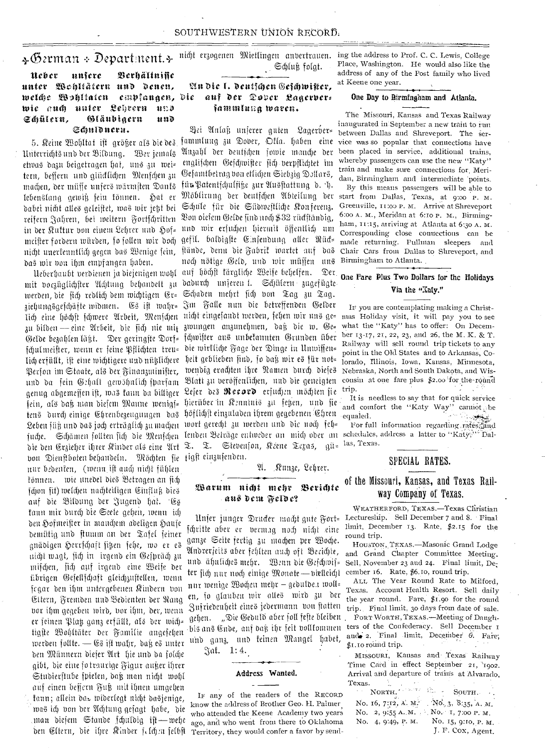### $\ast$ German + Department. $\ast$

#### Neber unfere *<u>Berhältnifie</u>* unter Wohltätern und denen, welche Wohltaten empfanaen, die wie auch unter Lehrern und Gläubigern Ecuilern, und Schuldneru.

5. Keine Wohltat ist arößer als die des Unterrichts und der Bildung. Wer jemals etwas dazu beigetragen hat, uns zu wei= tern, besseru und glücklichen Menschen zu machen, der müsse unsers wärmsten Dants lebenslang gewiß sein können. Hat er dabei nicht alles geleistet, was wir jest bei reifern Jahren, bei weitern Fortschritten in der Kuftur von einem Lehrer und Hof= meister fordern würden, so follen wir doch nicht unerkenntlich gegen das Wenige sein, stände, dem die Fabrik wartet auf das das wir von ihm empfangen haben.

mit vorzüglichster Achtung behandelt zu dadurch unseren !. Schülern zugefügte werden, die sich redlich dem wichtigen Er= Schaden mehrt sich von Tag zu Tag. ziehungsgeschäfte widmen. Es ist wahr= Im Falle nun die betreffenden Gelder lich eine höchst schwere Arbeit, Menschen nicht eingefandt werden, sehen wir uns ge= mas Holiday visit, it will pay you to see zu bilden — eine Arbeit, die sich nie mit zwungen anzunehmen, daß die w. Ge= Gelde bezahlen läßt. Der geringste Dorf= schwister aus unbekannten Grunden über fculmeister, wenn er seine Pflichten treu= die wirkliche Fage der Dinge in Unwiffen= lich erfüllt, ist eine wichtigere und nühlichere heit geblieben sind, so daß wir es für not= Person im Staate, als der Finanzutinister, wendig erachten ihre Namen durch diefes und da fein Gehalt gewöhnlich iparfam Blatt zu veröffenlichen, und die geneigten consin at one fare plus \$2.00 for the round genug abgemessen ist, was kann da billiger Leser des Record ersuchen möchten sie fein, als daß nian diesem Manne wenigf= hierüber in Kenninis zu feten, und sie tens durch einige Ehrenbezeugungen das höflichst einzuladen ihrem gegebenen Ehren Leben füß und das joch erträglich zu machen wort gerecht zu werden und die noch feh= fuche. Schämen follten sich die Menfchen lenden Beträge entweder an mich oder an die den Erzieher ihrer Kinder als eine Art T. T. Stevenson, Keene Texas, gü= von Dienstboten behandeln. Möchten sie tigst einzusenden. nur bedenten, (wenn ist auch nicht fühlen können. wie unedel dies Betragen an sich făon fit) welchen nachteiligen Cinfluß dies auf die Bildung der Jugend hat. Es kann mir durch die Seele gehen, wenn ich den Hofmeister in manchem adeligen Hause demütig und stumm an der Tafel seiner gnädigen Herrschaft figen sehe, wo er es nicht wagt, sich in irgend ein Gespräch zu mischen, sich auf irgend eine Weife der übrigen Gesellschaft gleichzustellen, wenn fegar den ihm untergebenen Kindern von Eltern, Fremden und Bedienten der Rang vor ihm gegeben wird, vor ihm, der, wenn werden follte. — Es ist wahr, daß es unter den Münnern dieser Art hie und da solche gibt, die eine fotraurige Figur außer ihrer Studierstube spielen, daß man nicht wohl auf einen bessern Fuß mit ihnen umgehen fann; allein daz widerlegt nicht dasjenige, was ich von der Achtung gesagt habe, die man diefem Stande schuldig ift—wehe

# nicht erzogenen Mietlingen anvertrauen. Schluß folgt.

### Un die I. deutschen Geschwister, auf der Dover Lagerbersammlung waren.

Bei Anlaß unserer guten Lagerber= fammlung zu Dover, Offa. haben eine vice was so popular that connections have Auzahl der deutschen sowie manche der englischen Geschwister sich verpflichtet im Gefamtbetrag von etlichen Siebzig Dollars, für Patentschulfiße zur Ausstattung d. D. Möblirung der deutschen Abteilung der Schule für die Südwestliche Konferenz. Bon oielem Gelde sind noch \$32 rückständig, und wir ersuchen hiermit öffentlich um gefil. baldigste Einsendung aller Rück= noch nötige Geld, und wir müssen uns Ueberhaubt verdienen ja diejenigen wohl auf höchst kärgliche Weise behelfen. Der

### A. Runze, Lehrer.

### Warum nicht mehr Berichte aus dem Felde?

fchritte aber er vermag noch nicht eine ganze Seite fertig zu machen per Woche. Andrerjeits aber fehlten auch oft Becichte, . und ähuliches mehr. Wenn die Geschwis- Sell, November 23 aud 24. Final limit, Deter jich nur noch einige Monate-vielleicht cember 16. Rate, \$6.10, round trip. nur wenige Wochen mehr - gedulde.t woll= en, so glauben wir alles wird zu der Zufriedenheit eines jedermann von flatten trip. Final limit, 30 days from date of sale. gehen. "Die Geduld aber foll feste bleiben Forr Worrn, TEXAS.-Meeting of Danghtigste Wohltäter der Familie angesehen bis ans Ende, anf daß ihr seit vollkommen ters of the Confederacy. Sell December 1 und ganz, und keinen Mangel habet,

Jai. 1:4.

#### Address Wanted.

IF any of the readers of the RECORD know the address of Brother Geo. H. Palmer who attended the Keene Academy two years ago, and who went from there to Oklahoma ben Eltern, die ihre Rinder felchen felbft Territory, they would confer a favor by send-

ing the address to Prof. C. C. Lewis, College Place, Washington. He would also like the address of any of the Post family who lived at Keene one year.

#### One Day to Birmingham and Atlanta.

The Missouri, Kansas and Texas Railway inaugurated in September a new train to run between Dallas and Shreveport. The serbeen placed in service, additional trains, whereby passengers can use the new "Katy" train and make sure connections for Meridan, Birmingham and intermediate points. By this means passengers will be able to start from Dallas, Texas, at 9:00 P. M. Greenville, II:00 P. M. Arrive at Shreveport 6:00 A. M., Meridan at 6:10 P. M., Birmingham, 11:15, arriving at Atlanta at 6:30 A. M. Corresponding close connections can be made returning. Pullman sleepers and Chair Cars from Dallas to Shreveport, and Birmingham to Atlanta.

### One Fare Plus Two Dollars for the Holidays Via the "Xaiv."

IF you are contemplating making a Christwhat the "Katy" has to offer: On December 13-17, 21, 22, 23, and 26, the M. K. & T. Railway will sell round trip tickets to any point in the Old States and to Arkansas, Colorado, Illinois, Iowa, Kansas, Minnesota, Nebraska, North and South Dakota, and Wistrip.

It is needless to say that for quick service and comfort the "Katy Way" cannot be equaled.

For full information regarding rates, and schedules, address a latter to "Katy;" Dallas, Texas.

### SPECIAL RATES.

### of the Missouri, Kansas, and Texas Railway Company of Texas.

WEATHERFORD, TEXAS .- Texas Christian Unjer junger Drucker macht gute Fort= Lectureship. Sell December 7 and 8. Final limit, December 13. Rate, \$2.15 for the round trip.

> HOUSTON, TEXAS.-Masonic Grand Lodge and Grand Chapter Committee Meeting.

> ALL The Year Round Rate to Milford, Texas. Account Health Resort. Sell daily the year round. Fare,  $$I.90$  for the round \$1.10 round trip.

> MISSOURI, Kausas and Texas Railway Time Card in effect September 21, 1902. Arrival and departure of trains at Alvarado. Texas.  $\sim$

| NORTH. NORTH.                               |                  |
|---------------------------------------------|------------------|
| No. 16, 7:12, A. M. No. 3, 8:35, A. M.      |                  |
| No. 2, 9:55 A. M. $\cdot$ No. 1, 7:00 P. M. |                  |
| No. 4, 9:49, P. M. No. 15, 9:10, P. M.      |                  |
|                                             | L. F. Cox. Agent |